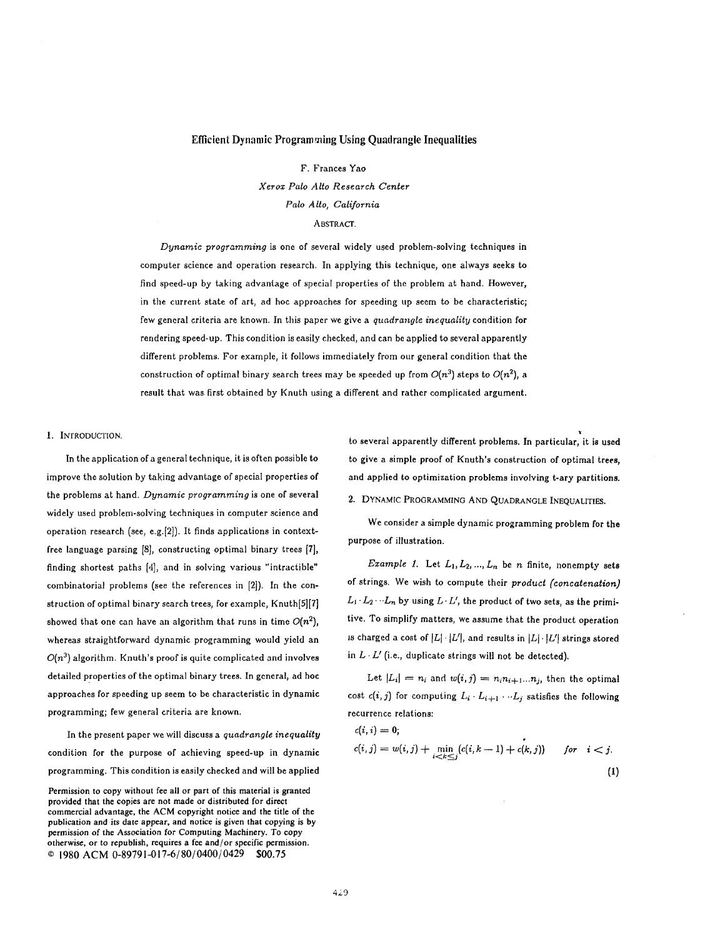#### Efficient Dynamic Programming Using Quadrangle Inequalities

F. Frances Yao

*Xerox Palo Alto Research Center Palo Alto, California* 

ABSTRACT.

*Dynamic programming* is one of several widely used problem-solving techniques in computer science and operation research. In applying this technique, one always seeks to find speed-up by taking advantage of special properties of the problem at hand. However, in the current state of art, ad hoc approaches for speeding up seem to be characteristic; few general criteria are known. In this paper we give a *quadrangle inequality* condition for rendering speed-up. This condition is easily checked, and can be applied to several apparently different problems. For example, it follows immediately from our general condition that the construction of optimal binary search trees may be speeded up from  $O(n^3)$  steps to  $O(n^2)$ , a result that was first obtained by Knuth using a different and rather complicated argument.

1. INTRODUCTION.

In the application of a general technique, it is often possible to improve the solution by taking advantage of special properties of the problems at hand. *Dynamic programming* is one of several widely used problem-solving techniques in computer science and operation research (see, e.g.[2]). It finds applications in contextfree language parsing [8], constructing optimal binary trees [7], finding shortest paths [4], and in solving various "intractible" combinatorial problems (see the references in [2]). In the construction of optimal binary search trees, for example, *Knuth[5][7]*  showed that one can have an algorithm that runs in time  $O(n^2)$ , whereas straightforward dynamic programming would yield an  $O(n^3)$  algorithm. Knuth's proof is quite complicated and involves detailed properties of the optimal binary trees. In general, ad hoe approaches for speeding up seem to be characteristic in dynamic programming; few general criteria are known.

In the present paper we will discuss a *quadrangle inequality*  condition for the purpose of achieving speed-up in dynamic programming. This condition is easily checked and will be applied to several apparently different problems. In particular, it is used to give a simple proof of Knuth's construction of optimal trees, and applied to optimization problems involving t-ary partitions.

# 2. DYNAMIC PROGRAMMING AND QUADRANGLE INEQUALITIES.

We consider a simple dynamic programming problem for the purpose of illustration.

*Example 1.* Let  $L_1, L_2, ..., L_n$  be n finite, nonempty sets of strings. We wish to compute their *product ('concatenation)*   $L_1 \cdot L_2 \cdots L_n$  by using  $L \cdot L'$ , the product of two sets, as the primitive. To simplify matters, we assume that the product operation is charged a cost of  $|L| \cdot |L'|$ , and results in  $|L| \cdot |L'|$  strings stored in  $L \cdot L'$  (i.e., duplicate strings will not be detected).

Let  $|L_i| = n_i$  and  $w(i, j) = n_i n_{i+1} \dots n_j$ , then the optimal cost  $c(i, j)$  for computing  $L_i \cdot L_{i+1} \cdots L_j$  satisfies the following recurrence relations:

$$
c(i, i) = 0;
$$
  
\n
$$
c(i, j) = w(i, j) + \min_{i < k \le j} (c(i, k - 1) + c(k, j)) \quad \text{for} \quad i < j.
$$
\n(1)

Permission to copy without fee all or part of this material is granted provided that the copies are not made or distributed for direct commercial advantage, the ACM copyright notice and the title of the publication and its date appear, and notice is given that copying is by permission of the Association for Computing Machinery. To copy otherwise, or to republish, requires a fee and/or specific permission.  $O$  1980 ACM 0-89791-017-6/80/0400/0429 \$00.75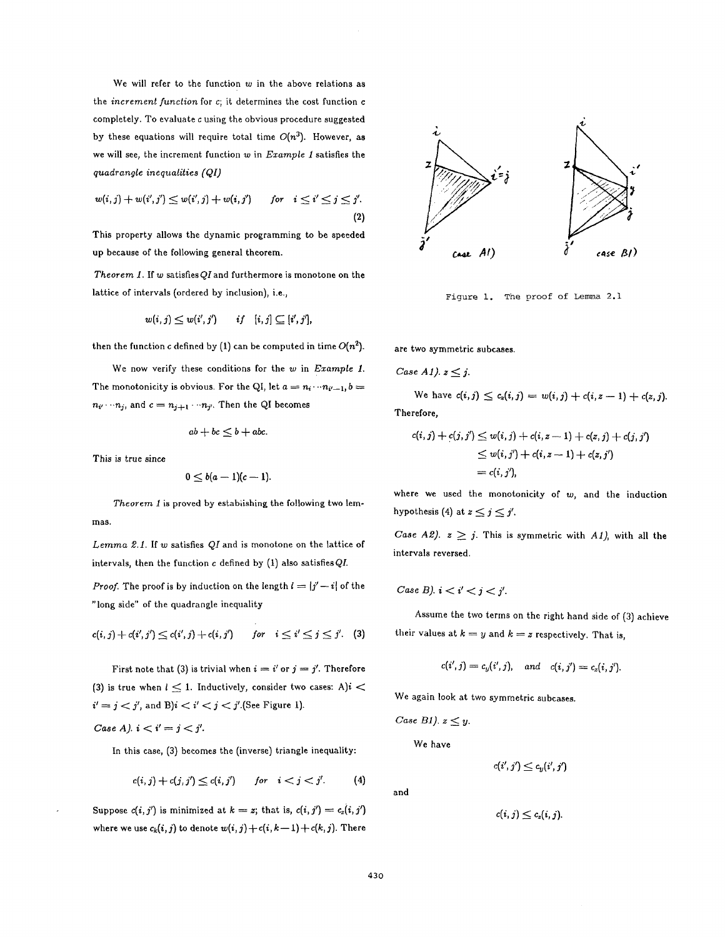We will refer to the function  $w$  in the above relations as the *increment function* for e; it determines the cost function e completely. To evaluate c using the obvious procedure suggested by these equations will require total time  $O(n^3)$ . However, as we will see, the increment function w in *Example 1* satisfies the *quadrangle inequalities (QI)* 

$$
w(i,j) + w(i',j') \le w(i',j) + w(i,j') \quad \text{for} \quad i \le i' \le j \le j'.
$$
\n(2)

This property allows the dynamic programming to be speeded up because of the following general theorem.

*Theorem 1.* If w satisfiesQIand furthermore is monotone on the lattice of intervals (ordered by inclusion), i.e.,

$$
w(i,j) \leq w(i',j') \qquad if \quad [i,j] \subseteq [i',j'],
$$

then the function c defined by (1) can be computed in time  $O(n^2)$ .

We now verify these conditions for the w in *Example 1.*  The monotonicity is obvious, For the QI, let  $a = n_i \cdots n_{i'-1}$ ,  $b =$  $n_{i'} \cdots n_j$ , and  $c = n_{j+1} \cdots n_{j'}$ . Then the QI becomes

$$
ab + bc \leq b + abc.
$$

This is true since

$$
0\leq b(a-1)(c-1).
$$

*Theorem 1* is proved by establishing the following two lemmas.

*Lemma 2.1.* If w satisfies *QI* and is monotone on the lattice of intervals, then the function  $c$  defined by  $(1)$  also satisfies QI.

*Proof.* The proof is by induction on the length  $l = |j'-i|$  of the "long side" of the quadrangle inequality

$$
c(i, j) + c(i', j') \le c(i', j) + c(i, j')
$$
 for  $i \le i' \le j \le j'$ . (3)

First note that (3) is trivial when  $i = i'$  or  $j = j'$ . Therefore (3) is true when  $l \leq 1$ . Inductively, consider two cases: A)i <  $i' = j < j'$ , and B) $i < i' < j < j'$ . (See Figure 1).

Case A). 
$$
i < i' = j < j'
$$
.

In this case,  $(3)$  becomes the (inverse) triangle inequality:

$$
c(i,j) + c(j,j') \leq c(i,j') \qquad \text{for} \quad i < j < j'.
$$
 (4)

Suppose  $c(i, j')$  is minimized at  $k = z$ ; that is,  $c(i, j') = c_z(i, j')$ where we use  $c_k(i, j)$  to denote  $w(i, j) + c(i, k-1) + c(k, j)$ . There



Figure 1. The proof of Lemma 2.1

are two symmetric subcases.

Case A1). 
$$
z \leq j
$$
.

We have 
$$
c(i,j) \leq c_z(i,j) = w(i,j) + c(i,z-1) + c(z,j)
$$
. Therefore,

$$
c(i,j) + c(j,j') \leq w(i,j) + c(i,z-1) + c(z,j) + c(j,j')
$$
  

$$
\leq w(i,j') + c(i,z-1) + c(z,j')
$$
  

$$
= c(i,j'),
$$

where we used the monotonicity of  $w$ , and the induction hypothesis (4) at  $z \leq j \leq j'$ .

*Case A2).*  $z \geq j$ . This is symmetric with *A1*), with all the intervals reversed.

Case B). 
$$
i < i' < j < j'
$$
.

Assume the two terms on the right hand side of (3) achieve their values at  $k = y$  and  $k = z$  respectively. That is,

$$
c(i',j)=c_y(i',j), \quad and \quad c(i,j')=c_z(i,j').
$$

We again look at two symmetric subeases.

Case B1). 
$$
z \leq y
$$
.

We have

$$
c(i',j') \leq c_y(i',j')
$$

$$
\quad\text{and}\quad
$$

 $c(i, j) \leq c_z(i, j).$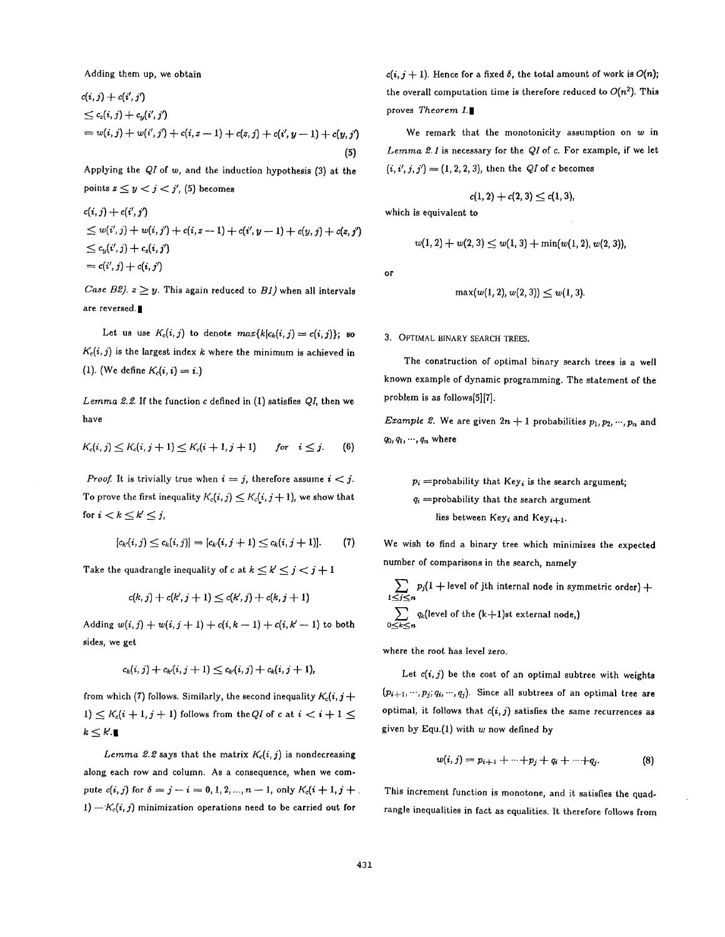Adding them up, we obtain

$$
c(i, j) + c(i', j')
$$
  
\n
$$
\leq c_z(i, j) + c_y(i', j')
$$
  
\n
$$
= w(i, j) + w(i', j') + c(i, z - 1) + c(z, j) + c(i', y - 1) + c(y, j')
$$
\n(5)

Applying the *QI* of *w,* and the induction hypothesis (3) at the points  $z \leq y < j < j'$ , (5) becomes

$$
c(i, j) + c(i', j')
$$
  
\n
$$
\leq w(i', j) + w(i, j') + c(i, z - 1) + c(i', y - 1) + c(y, j) + c(z, j')
$$
  
\n
$$
\leq c_y(i', j) + c_z(i, j')
$$
  
\n
$$
= c(i', j) + c(i, j')
$$

*Case B2).*  $z \geq y$ . This again reduced to *B1*) when all intervals are reversed.

Let us use  $K_c(i,j)$  to denote  $max\{k|c_k(i,j) = c(i,j)\}$ ; so  $K_c(i, j)$  is the largest index k where the minimum is achieved in (1). (We define  $K_c(i, i) = i$ .)

*Lemma 2.2.* If the function c defined in (I) satisfies *QI,* then we have

$$
K_c(i,j) \leq K_c(i,j+1) \leq K_c(i+1,j+1) \qquad \text{for} \quad i \leq j. \tag{6}
$$

*Proof.* It is trivially true when  $i = j$ , therefore assume  $i < j$ . To prove the first inequality  $K_c(i, j) \leq K_c(i, j + 1)$ , we show that for  $i < k \leq k' \leq j$ ,

$$
[c_{k'}(i,j) \leq c_k(i,j)] \Rightarrow [c_{k'}(i,j+1) \leq c_k(i,j+1)]. \tag{7}
$$

Take the quadrangle inequality of c at  $k \leq k' \leq j < j+1$ 

$$
c(k, j) + c(k', j + 1) \leq c(k', j) + c(k, j + 1)
$$

Adding  $w(i, j) + w(i, j + 1) + c(i, k - 1) + c(i, k' - 1)$  to both sides, we get

$$
c_k(i,j) + c_{k'}(i,j+1) \leq c_{k'}(i,j) + c_k(i,j+1),
$$

from which (7) follows. Similarly, the second inequality  $K_c(i, j+)$ 1)  $\leq K_c(i+1,j+1)$  follows from the QI of c at  $i < i+1 \leq$  $k \leq k'.$ 

*Lemma 2.2* says that the matrix  $K_c(i,j)$  is nondecreasing along each row and column. As a consequence, when we compute  $c(i, j)$  for  $\delta = j - i = 0, 1, 2, ..., n - 1$ , only  $K_c(i + 1, j + 1)$  $1)-K_c(i, j)$  minimization operations need to be carried out for

 $c(i, j + 1)$ . Hence for a fixed  $\delta$ , the total amount of work is  $O(n)$ ; the overall computation time is therefore reduced to  $O(n^2)$ . This proves *Theorem 1.|* 

We remark that the monotonicity assumption on  $w$  in *Lemma 2.1* is necessary for the *QIof e.* For example, if we let  $(i, i', j, j') = (1, 2, 2, 3)$ , then the *QI* of *c* becomes

 $c(1, 2) + c(2, 3) \leq c(1, 3),$ 

which is equivalent to

$$
w(1,2)+w(2,3)\leq w(1,3)+\min(w(1,2),w(2,3)),
$$

or

$$
\max(w(1,2), w(2,3)) \leq w(1,3).
$$

3. OPTIMAL BINARY SEARCH TREES.

The construction of optimal binary search trees is a well known example of dynamic programming. The statement of the problem is as follows[5][7].

*Example 2.* We are given  $2n + 1$  probabilities  $p_1, p_2, \dots, p_n$  and  $q_0, q_1, \cdots, q_n$  where

 $p_i$  =probability that  $Key_i$  is the search argument;  $q_i$  =probability that the search argument lies between Key<sub>i</sub> and Key<sub>i+1</sub>.

We wish to find a binary tree which minimizes the expected number of comparisons in the search, namely

 $p_j$ (1  $+$  level of jth internal node in symmetric order)  $+$ l≤j≤n  $\sum q_k$ (level of the  $(k+1)$ st external node,)  $0{\leq}k{\leq}n$ 

where the root has level zero.

Let  $c(i, j)$  be the cost of an optimal subtree with weights  $(p_{i+1}, \dots, p_j; q_i, \dots, q_j)$ . Since all subtrees of an optimal tree are optimal, it follows that  $c(i, j)$  satisfies the same recurrences as given by Equ.(1) with  $w$  now defined by

$$
w(i,j) = p_{i+1} + \cdots + p_j + q_i + \cdots + q_j. \tag{8}
$$

This increment function is monotone, and it satisfies the quadrangle inequalities in fact as equalities. It therefore follows from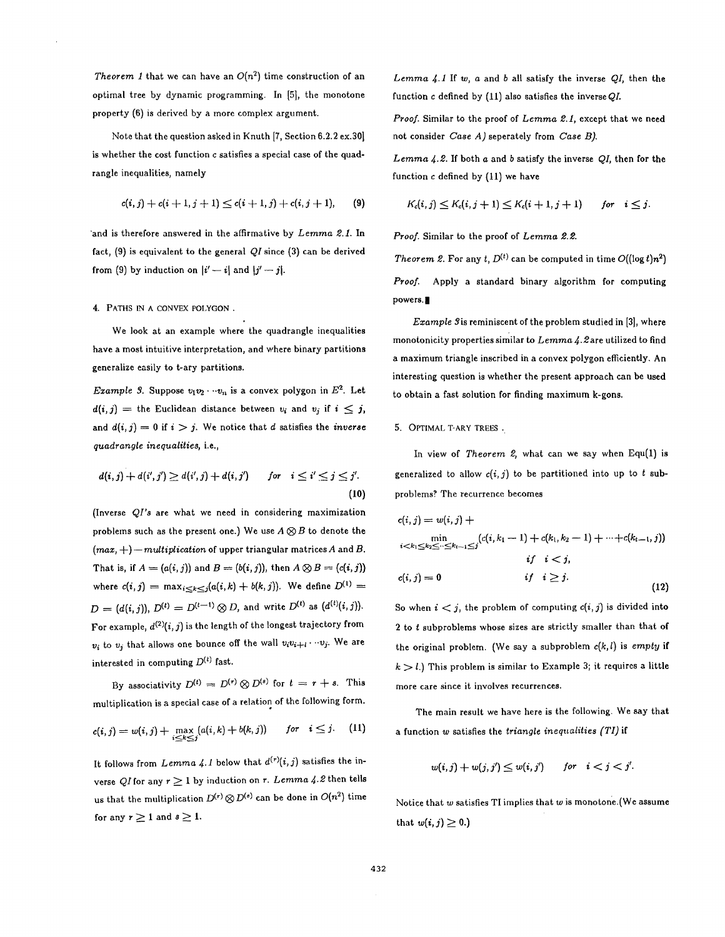*Theorem 1* that we can have an  $O(n^2)$  time construction of an optimal tree by dynamic programming. In [5], the monotone property (6) is derived by a more complex argument.

Note that the question asked in Knuth [7, Section 6.2.2 ex.30] is whether the cost function e satisfies a special case of the quadrangle inequalities, namely

$$
c(i,j) + c(i+1,j+1) \le c(i+1,j) + c(i,j+1), \qquad (9)
$$

'and is therefore answered in the affirmative by *Lemma 2.1*. In fact, (9) is equivalent to the general *QI* since (3) can be derived from (9) by induction on  $|i'-i|$  and  $|j'-j|$ .

## 4. PATHS IN A CONVEX POLYGON .

We look at an example where the quadrangle inequalities have a most intuitive interpretation, and where binary partitions generalize easily to t-ary partitions.

*Example 3.* Suppose  $v_1v_2 \cdots v_n$  is a convex polygon in  $E^2$ . Let  $d(i, j) =$  the Euclidean distance between  $v_i$  and  $v_j$  if  $i \leq j$ , and  $d(i, j) = 0$  if  $i > j$ . We notice that d satisfies the *inverse quadrangle inequalities,* i.e.,

$$
d(i,j) + d(i',j') \geq d(i',j) + d(i,j') \qquad \text{for} \quad i \leq i' \leq j \leq j'.
$$
\n
$$
(10)
$$

(Inverse *QI's* are what we need in considering maximization problems such as the present one.) We use  $A \otimes B$  to denote the  $(max, +)$  -*multiplication* of upper triangular matrices A and B. That is, if  $A = (a(i, j))$  and  $B = (b(i, j))$ , then  $A \otimes B = (c(i, j))$ where  $c(i, j) = \max_{i \le k \le j} (a(i, k) + b(k, j))$ . We define  $D^{(1)} =$  $D = (d(i,j)), D^{(t)} = D^{(t-1)} \otimes D$ , and write  $D^{(t)}$  as  $(d^{(t)}(i,j)).$ For example,  $d^{(2)}(i, j)$  is the length of the longest trajectory from  $v_i$  to  $v_j$  that allows one bounce off the wall  $v_i v_{i+1} \cdots v_j$ . We are interested in computing  $D^{(t)}$  fast.

By associativity  $D^{(t)} = D^{(r)} \otimes D^{(s)}$  for  $t = r + s$ . This multiplication is a special case of a relation of the following form.

$$
c(i,j) = w(i,j) + \max_{i \le k \le j} (a(i,k) + b(k,j)) \quad \text{for} \quad i \le j. \tag{11}
$$

It follows from *Lemma 4.1* below that  $d^{(r)}(i, j)$  satisfies the inverse QI for any  $r \geq 1$  by induction on r. Lemma 4.2 then tells us that the multiplication  $D^{(r)} \otimes D^{(s)}$  can be done in  $O(n^2)$  time for any  $r\geq 1$  and  $s\geq 1$ .

*Lemma \$.1* If w, a and b all satisfy the inverse *QI,* then the function c defined by (11) also satisfies the inverse *QL* 

*Proof.* Similar to the proof of *Lemma 2.1,* except that we need not consider *Case A)* seperately from *Case B).* 

*Lemma \$.2.* If both a and b satisfy the inverse *QI,* then for the function e defined by (11) we have

$$
K_c(i,j) \leq K_c(i,j+1) \leq K_c(i+1,j+1) \quad for \quad i \leq j.
$$

*Proof.* Similar to the proof of *Lemma 2.2.* 

*Theorem 2.* For any *t*,  $D^{(t)}$  can be computed in time  $O((\log t) n^2)$ *Proof.* Apply a standard binary algorithm for computing powers.

*Example 3* is reminiscent of the problem studied in [3], where monotonicity properties similar to Lemma 4.2are utilized to find a maximum triangle inscribed in a convex polygon efficiently. An interesting question is whether the present approach can be used to obtain a fast solution for finding maximum k-gons.

### 5. OPTIMAL T-ARY TREES.

In view of *Theorem 2,* what can we say when Equ(1) is generalized to allow  $c(i, j)$  to be partitioned into up to t subproblems? The recurrence becomes

$$
c(i, j) = w(i, j) + \min_{i < k_1 \le k_2 \le \dots \le k_{t-1} \le j} (c(i, k_1 - 1) + c(k_1, k_2 - 1) + \dots + c(k_{t-1}, j))
$$
\n
$$
i f \quad i < j,
$$
\n
$$
c(i, j) = 0 \qquad \qquad if \quad i \ge j.
$$
\n
$$
(12)
$$

So when  $i < j$ , the problem of computing  $c(i, j)$  is divided into 2 to t subproblems whose sizes are strictly smaller than that of the original problem. (We say a subproblem *c(k,l)* is *empty* if  $k > l$ .) This problem is similar to Example 3; it requires a little more care since it involves recurrences.

The main result we have here is the following. We say that a function w satisfies the *triangle inequalities (TI)* if

$$
w(i,j) + w(j,j') \leq w(i,j') \quad \text{for} \quad i < j < j'.
$$

Notice that  $w$  satisfies TI implies that  $w$  is monotone. (We assume that  $w(i, j) \geq 0.$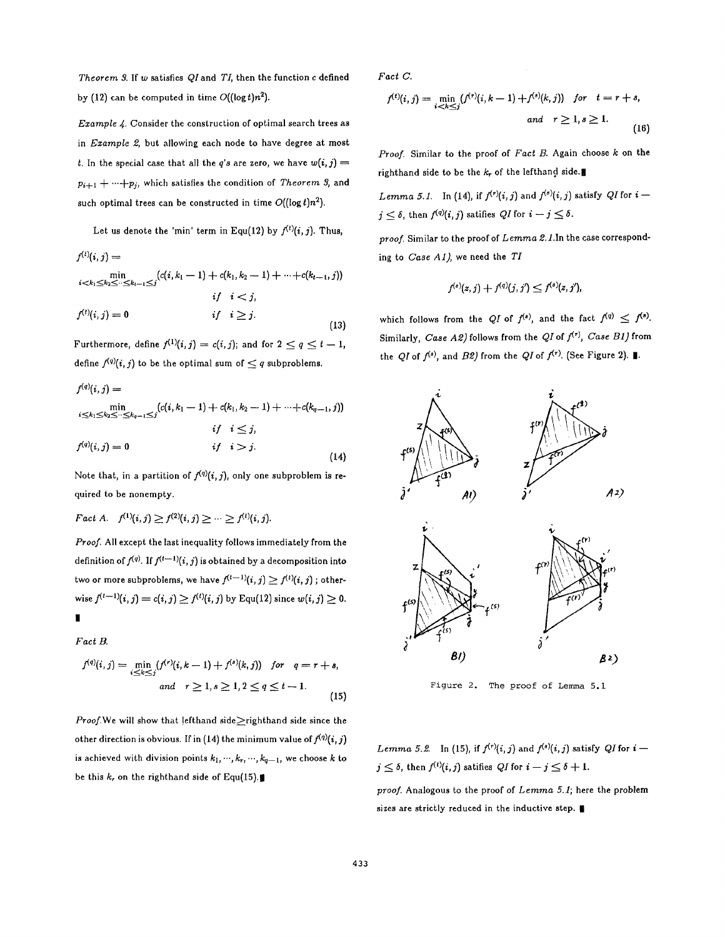*Theorem 3.* If w satisfies Q/and T/, then the function c defined by (12) can be computed in time  $O((\log t)n^2)$ .

*Example 4.* Consider the construction of optimal search trees as in *Example 2,* but allowing each node to have degree at most t. In the special case that all the *q's* are zero, we have  $w(i, j)$  =  $p_{i+1} + \cdots + p_j$ , which satisfies the condition of *Theorem 3*, and such optimal trees can be constructed in time  $O((\log t)n^2)$ .

Let us denote the 'min' term in Equ(12) by  $f^{(t)}(i, j)$ . Thus,

$$
f^{(t)}(i,j) = \min_{i < k_1 \le k_2 \le \dots \le k_{t-1} \le j} \{c(i, k_1 - 1) + c(k_1, k_2 - 1) + \dots + c(k_{t-1}, j)\}
$$
\n
$$
if \quad i < j,
$$
\n
$$
f^{(t)}(i, j) = 0 \qquad if \quad i \ge j.
$$
\n
$$
(13)
$$

Furthermore, define  $f^{(1)}(i, j) = c(i, j)$ ; and for  $2 \le q \le t - 1$ , define  $f^{(q)}(i, j)$  to be the optimal sum of  $\leq q$  subproblems.

$$
f^{(q)}(i,j) = \min_{\substack{i \le k_1 \le k_2 \le \dots \le k_{q-1} \le j}} (c(i, k_1 - 1) + c(k_1, k_2 - 1) + \dots + c(k_{q-1}, j))
$$
  
\n
$$
if \quad i \le j,
$$
  
\n
$$
f^{(q)}(i, j) = 0 \qquad if \quad i > j.
$$
\n(14)

Note that, in a partition of  $f^{(q)}(i, j)$ , only one subproblem is required to be nonempty.

*Fact A.*  $f^{(1)}(i,j) \geq f^{(2)}(i,j) \geq \cdots \geq f^{(t)}(i,j).$ 

*Proof.* All except the last inequality follows immediately from the definition of  $f^{(q)}$ . If  $f^{(t-1)}(i, j)$  is obtained by a decomposition into two or more subproblems, we have  $f^{(t-1)}(i,j) \geq f^{(t)}(i,j)$  ; otherwise  $f^{(t-1)}(i, j) = c(i, j) \ge f^{(t)}(i, j)$  by Equ(12) since  $w(i, j) \ge 0$ . **|** 

*Fact B.* 

 $\mathbf{A}$ 

$$
f^{(q)}(i,j) = \min_{i \le k \le j} (f^{(r)}(i,k-1) + f^{(s)}(k,j)) \quad \text{for} \quad q = r + s,
$$
  
and  $r \ge 1, s \ge 1, 2 \le q \le t - 1.$  (15)

*Proof.We will show that lefthand side* >righthand side since the other direction is obvious. If in (14) the minimum value of  $f^{(q)}(i, j)$ is achieved with division points  $k_1, \dots, k_r, \dots, k_{q-1}$ , we choose k to be this  $k_r$  on the righthand side of Equ(15).

*Fact C.* 

$$
f^{(t)}(i,j) = \min_{i < k \le j} (f^{(\tau)}(i,k-1) + f^{(s)}(k,j)) \quad \text{for} \quad t = r + s,
$$
  
and  $r \ge 1, s \ge 1.$  (16)

*Proof.* Similar to the proof of *Fact B.* Again choose k on the righthand side to be the  $k_r$  of the lefthand side.

*Lemma 5.1.* In (14), if  $f^{(r)}(i, j)$  and  $f^{(s)}(i, j)$  satisfy QI for  $i$  –  $j < \delta$ , then  $f^{(q)}(i, j)$  satifies  $QI$  for  $i - j \leq \delta$ .

*proof.* Similar to the proof of *Lemma 2.1.1n* the case corresponding to *Case A1),* we need the *TI* 

$$
f^{(s)}(z,j) + f^{(q)}(j,j') \leq f^{(s)}(z,j'),
$$

which follows from the *QI* of  $f^{(s)}$ , and the fact  $f^{(q)} \leq f^{(s)}$ . Similarly, *Case A2*) follows from the *QI* of  $f^{(r)}$ , *Case B1*) from the *QI* of  $f^{(s)}$ , and *B2*) from the *QI* of  $f^{(r)}$ . (See Figure 2).



Figure 2. The proof of Lemma 5.1

*Lemma 5.2.* In (15), if  $f^{(r)}(i, j)$  and  $f^{(s)}(i, j)$  satisfy QI for  $i$  $j \leq \delta$ , then  $f^{(t)}(i, j)$  satifies  $QI$  for  $i - j \leq \delta + 1$ .

*proof.* Analogous to the proof of *Lemma 5.1;* here the problem sizes are strictly reduced in the inductive step.  $\blacksquare$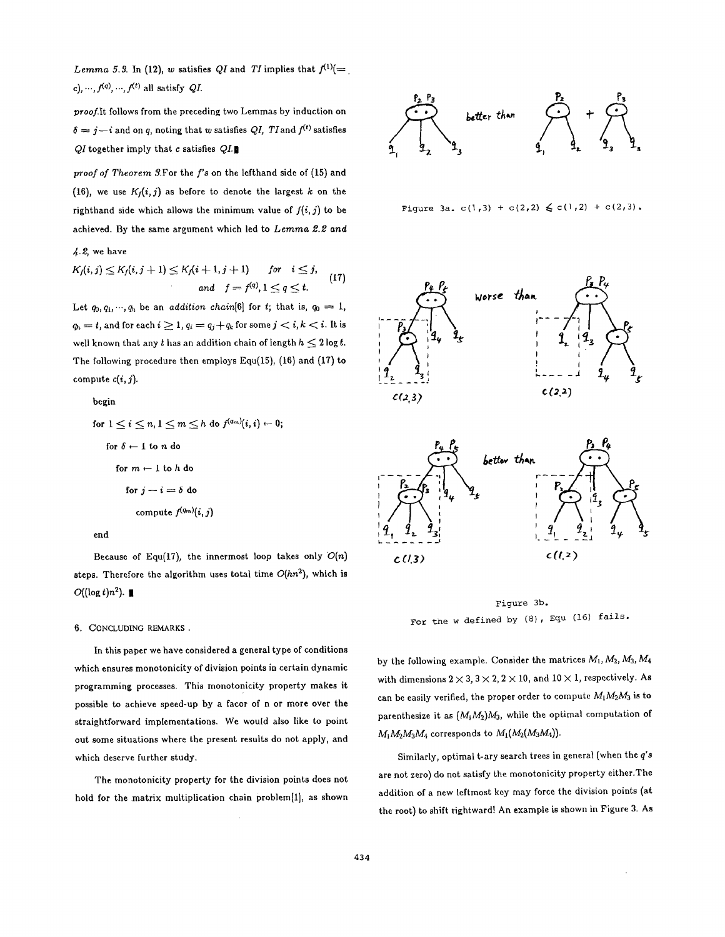*Lemma 5.3.* In (12), w satisfies QI and TI implies that  $f^{(1)}(=$ . c), ...,  $f^{(q)}$ , ...,  $f^{(t)}$  all satisfy *QI*.

*proof.It* follows from the preceding two Lemmas by induction on  $\delta = j - i$  and on q, noting that w satisfies *QI*, *TI* and  $f^{(t)}$  satisfies *QI* together imply that c satisfies QI.

proof of Theorem 3.For the f's on the lefthand side of (15) and (16), we use  $K_f(i, j)$  as before to denote the largest k on the righthand side which allows the minimum value of  $f(i,j)$  to be achieved. By the same argument which led to *Lemma 2.2 and* 

 $4.2$ , we have

$$
K_f(i,j) \leq K_f(i,j+1) \leq K_f(i+1,j+1) \quad \text{for} \quad i \leq j,
$$
\n
$$
\text{and} \quad f = f^{(q)}, 1 \leq q \leq t. \tag{17}
$$

Let  $q_0, q_1, \dots, q_h$  be an *addition chain*[6] for t; that is,  $q_0 = 1$ ,  $q_h = t$ , and for each  $i \geq 1$ ,  $q_i = q_j + q_k$  for some  $j < i, k < i$ . It is well known that any  $t$  has an addition chain of length  $h \leq 2 \log t$ . The following procedure then employs Equ(15), (16) and (17) to compute  $c(i, j)$ .

begin\n
$$
\begin{aligned}\n\text{begin} \\
\text{for } 1 \leq i \leq n, 1 \leq m \leq h \text{ do } f^{(q_m)}(i, i) \leftarrow 0; \\
\text{for } \delta \leftarrow 1 \text{ to } n \text{ do} \\
\text{for } m \leftarrow 1 \text{ to } h \text{ do} \\
\text{for } j - i = \delta \text{ do} \\
\text{compute } f^{(q_m)}(i, j)\n\end{aligned}
$$

Because of Equ(17), the innermost loop takes only  $O(n)$ steps. Therefore the algorithm uses total time *O(hn2),* which is  $O((\log t)n^2)$ .

## 6. CONCLUDING REMARKS .

In this paper we have considered a general type of conditions which ensures monotonicity of division points in certain dynamic programming processes. This monotonicity property makes it possible to achieve speed-up by a facor of n or more over the straightforward implementations. We would also like to point out some situations where the present results do not apply, and which deserve further study.

The monotonicity property for the division points does not hold for the matrix multiplication chain problem $[1]$ , as shown



```
Figure 3a. c(1,3) + c(2,2) \leq c(1,2) + c(2,3).
```




Figure 3b. For tne w defined by (8), Equ (16) fails.

by the following example. Consider the matrices  $M_1, M_2, M_3, M_4$ with dimensions  $2 \times 3$ ,  $3 \times 2$ ,  $2 \times 10$ , and  $10 \times 1$ , respectively. As can be easily verified, the proper order to compute  $M_1M_2M_3$  is to parenthesize it as *(MjM2)M3,* while the optimal computation of  $M_1M_2M_3M_4$  corresponds to  $M_1(M_2(M_3M_4))$ .

Similarly, optimal t-ary search trees in general (when the *q'a*  are not zero) do not satisfy the monotonicity property either.The addition of a new leftmost key may force the division points (at the root) to shift rightward! An example is shown in Figure 3. As